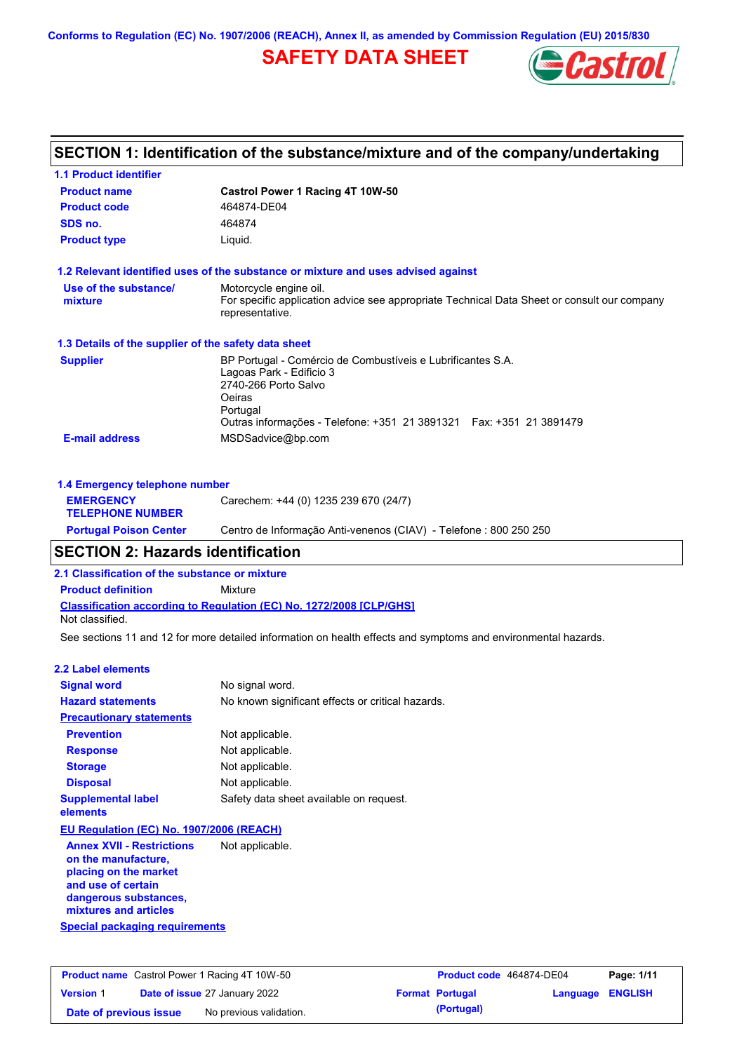**Conforms to Regulation (EC) No. 1907/2006 (REACH), Annex II, as amended by Commission Regulation (EU) 2015/830**

# **SAFETY DATA SHEET**



| <b>1.1 Product identifier</b>                        |                                                                                                                                                                                                               |
|------------------------------------------------------|---------------------------------------------------------------------------------------------------------------------------------------------------------------------------------------------------------------|
| <b>Product name</b>                                  | Castrol Power 1 Racing 4T 10W-50                                                                                                                                                                              |
| <b>Product code</b>                                  | 464874-DE04                                                                                                                                                                                                   |
| SDS no.                                              | 464874                                                                                                                                                                                                        |
| <b>Product type</b>                                  | Liquid.                                                                                                                                                                                                       |
|                                                      | 1.2 Relevant identified uses of the substance or mixture and uses advised against                                                                                                                             |
| Use of the substance/<br>mixture                     | Motorcycle engine oil.<br>For specific application advice see appropriate Technical Data Sheet or consult our company<br>representative.                                                                      |
| 1.3 Details of the supplier of the safety data sheet |                                                                                                                                                                                                               |
| <b>Supplier</b>                                      | BP Portugal - Comércio de Combustíveis e Lubrificantes S.A.<br>Lagoas Park - Edificio 3<br>2740-266 Porto Salvo<br>Oeiras<br>Portugal<br>Outras informações - Telefone: +351 21 3891321  Fax: +351 21 3891479 |
| <b>E-mail address</b>                                | MSDSadvice@bp.com                                                                                                                                                                                             |
| 1.4 Emergency telephone number                       |                                                                                                                                                                                                               |
| <b>EMERGENCY</b><br><b>TELEPHONE NUMBER</b>          | Carechem: +44 (0) 1235 239 670 (24/7)                                                                                                                                                                         |

# **SECTION 2: Hazards identification**

**2.1 Classification of the substance or mixture**

**Classification according to Regulation (EC) No. 1272/2008 [CLP/GHS] Product definition** Mixture Not classified.

See sections 11 and 12 for more detailed information on health effects and symptoms and environmental hazards.

**Portugal Poison Center** Centro de Informação Anti-venenos (CIAV) - Telefone : 800 250 250

#### **2.2 Label elements**

| <b>Signal word</b>                       | No signal word.                                   |
|------------------------------------------|---------------------------------------------------|
| <b>Hazard statements</b>                 | No known significant effects or critical hazards. |
| <b>Precautionary statements</b>          |                                                   |
| <b>Prevention</b>                        | Not applicable.                                   |
| <b>Response</b>                          | Not applicable.                                   |
| <b>Storage</b>                           | Not applicable.                                   |
| <b>Disposal</b>                          | Not applicable.                                   |
| <b>Supplemental label</b><br>elements    | Safety data sheet available on request.           |
| EU Regulation (EC) No. 1907/2006 (REACH) |                                                   |
| <b>Annex XVII - Restrictions</b>         | Not applicable.                                   |

**Special packaging requirements on the manufacture, placing on the market and use of certain dangerous substances, mixtures and articles**

| <b>Product name</b> Castrol Power 1 Racing 4T 10W-50 |  |                                      | Product code 464874-DE04 |                        | Page: 1/11              |  |
|------------------------------------------------------|--|--------------------------------------|--------------------------|------------------------|-------------------------|--|
| <b>Version 1</b>                                     |  | <b>Date of issue 27 January 2022</b> |                          | <b>Format Portugal</b> | <b>Language ENGLISH</b> |  |
| Date of previous issue                               |  | No previous validation.              |                          | (Portugal)             |                         |  |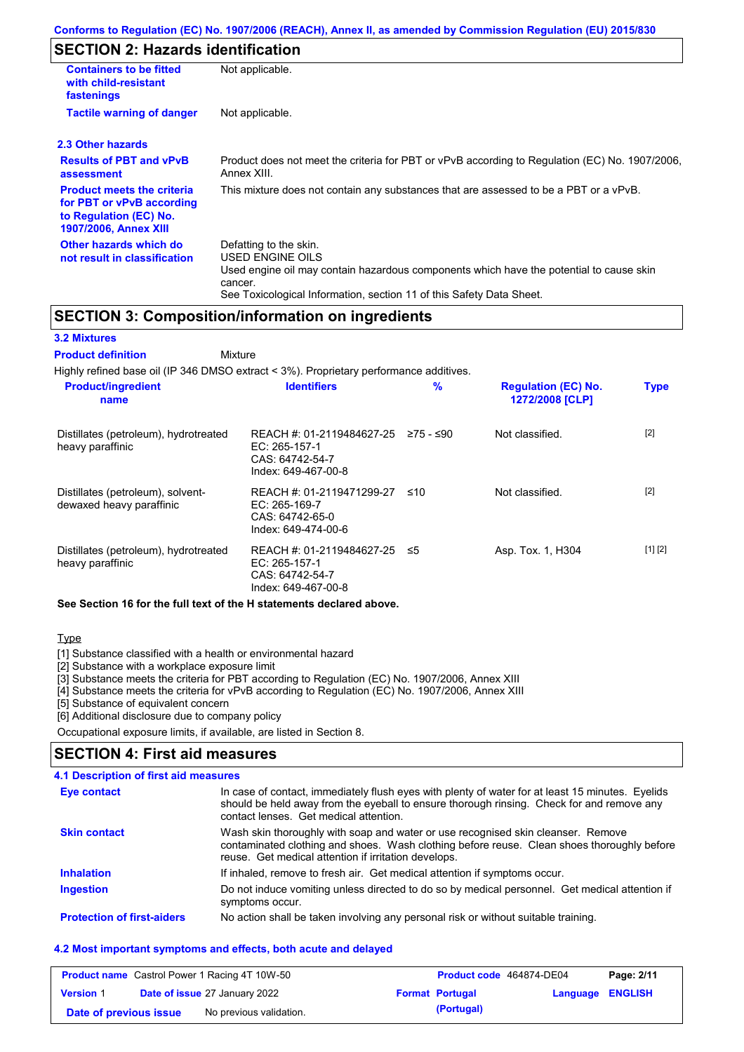### **SECTION 2: Hazards identification**

| <b>Containers to be fitted</b><br>with child-resistant<br>fastenings                                                     | Not applicable.                                                                                                                                                                                                          |  |
|--------------------------------------------------------------------------------------------------------------------------|--------------------------------------------------------------------------------------------------------------------------------------------------------------------------------------------------------------------------|--|
| <b>Tactile warning of danger</b><br>Not applicable.                                                                      |                                                                                                                                                                                                                          |  |
| 2.3 Other hazards                                                                                                        |                                                                                                                                                                                                                          |  |
| <b>Results of PBT and vPvB</b><br>assessment                                                                             | Product does not meet the criteria for PBT or vPvB according to Regulation (EC) No. 1907/2006,<br>Annex XIII.                                                                                                            |  |
| <b>Product meets the criteria</b><br>for PBT or vPvB according<br>to Regulation (EC) No.<br><b>1907/2006, Annex XIII</b> | This mixture does not contain any substances that are assessed to be a PBT or a vPvB.                                                                                                                                    |  |
| Other hazards which do<br>not result in classification                                                                   | Defatting to the skin.<br>USED ENGINE OILS<br>Used engine oil may contain hazardous components which have the potential to cause skin<br>cancer.<br>See Toxicological Information, section 11 of this Safety Data Sheet. |  |

### **SECTION 3: Composition/information on ingredients**

#### Highly refined base oil (IP 346 DMSO extract < 3%). Proprietary performance additives. Distillates (petroleum), hydrotreated heavy paraffinic REACH #: 01-2119484627-25 EC: 265-157-1 CAS: 64742-54-7 Index: 649-467-00-8 Distillates (petroleum), solvent-REACH #: 01-2119471299-27 **Product/ingredient name % Regulation (EC) No. Identifiers Type Mixture 3.2 Mixtures Product definition**

| dewaxed heavy paraffinic                                  | $EC: 265-169-7$<br>CAS: 64742-65-0<br>Index: 649-474-00-6                                 |                   |         |
|-----------------------------------------------------------|-------------------------------------------------------------------------------------------|-------------------|---------|
| Distillates (petroleum), hydrotreated<br>heavy paraffinic | REACH #: 01-2119484627-25 ≤5<br>EC: $265-157-1$<br>CAS: 64742-54-7<br>Index: 649-467-00-8 | Asp. Tox. 1, H304 | [1] [2] |

Not classified. [2]

**1272/2008 [CLP]**

Not classified. [2]

### **See Section 16 for the full text of the H statements declared above.**

Type

[1] Substance classified with a health or environmental hazard

[2] Substance with a workplace exposure limit

[3] Substance meets the criteria for PBT according to Regulation (EC) No. 1907/2006, Annex XIII

[4] Substance meets the criteria for vPvB according to Regulation (EC) No. 1907/2006, Annex XIII

[5] Substance of equivalent concern

[6] Additional disclosure due to company policy

Occupational exposure limits, if available, are listed in Section 8.

### **SECTION 4: First aid measures**

### **4.1 Description of first aid measures**

| Eye contact                       | In case of contact, immediately flush eyes with plenty of water for at least 15 minutes. Eyelids<br>should be held away from the eyeball to ensure thorough rinsing. Check for and remove any<br>contact lenses. Get medical attention. |  |  |  |
|-----------------------------------|-----------------------------------------------------------------------------------------------------------------------------------------------------------------------------------------------------------------------------------------|--|--|--|
| <b>Skin contact</b>               | Wash skin thoroughly with soap and water or use recognised skin cleanser. Remove<br>contaminated clothing and shoes. Wash clothing before reuse. Clean shoes thoroughly before<br>reuse. Get medical attention if irritation develops.  |  |  |  |
| <b>Inhalation</b>                 | If inhaled, remove to fresh air. Get medical attention if symptoms occur.                                                                                                                                                               |  |  |  |
| <b>Ingestion</b>                  | Do not induce vomiting unless directed to do so by medical personnel. Get medical attention if<br>symptoms occur.                                                                                                                       |  |  |  |
| <b>Protection of first-aiders</b> | No action shall be taken involving any personal risk or without suitable training.                                                                                                                                                      |  |  |  |

### **4.2 Most important symptoms and effects, both acute and delayed**

| <b>Product name</b> Castrol Power 1 Racing 4T 10W-50 |  |                                      | Product code 464874-DE04 |                        | Page: 2/11              |  |
|------------------------------------------------------|--|--------------------------------------|--------------------------|------------------------|-------------------------|--|
| <b>Version 1</b>                                     |  | <b>Date of issue 27 January 2022</b> |                          | <b>Format Portugal</b> | <b>Language ENGLISH</b> |  |
| Date of previous issue                               |  | No previous validation.              |                          | (Portugal)             |                         |  |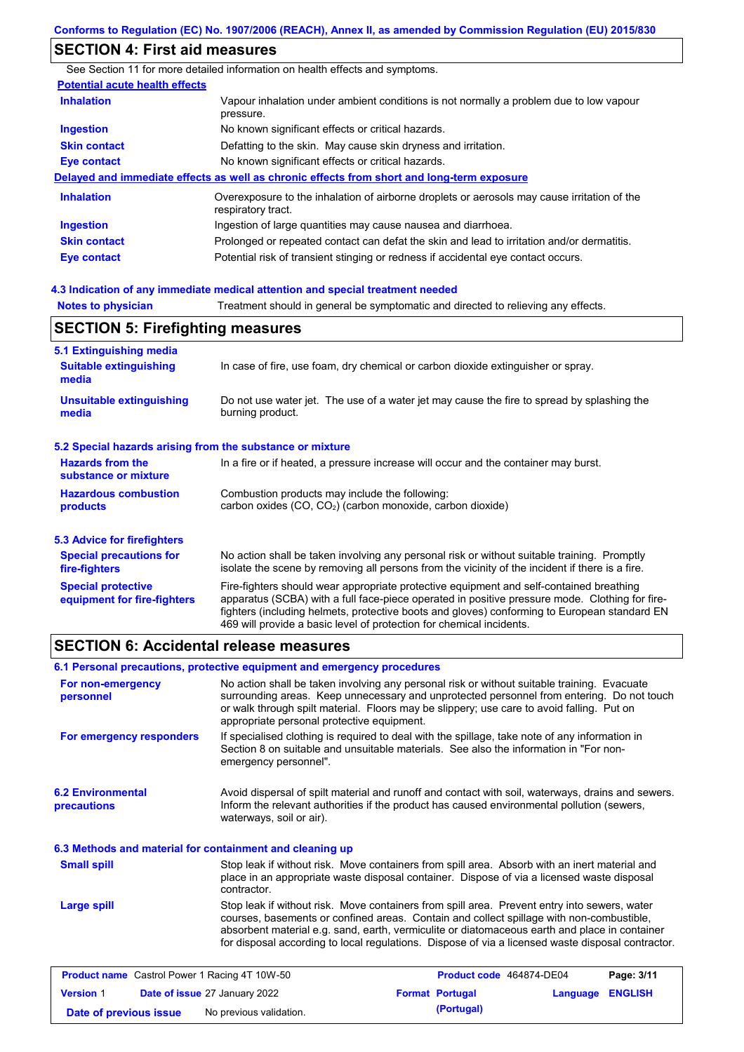# **SECTION 4: First aid measures**

|                                       | See Section 11 for more detailed information on health effects and symptoms.                                      |  |  |
|---------------------------------------|-------------------------------------------------------------------------------------------------------------------|--|--|
| <b>Potential acute health effects</b> |                                                                                                                   |  |  |
| <b>Inhalation</b>                     | Vapour inhalation under ambient conditions is not normally a problem due to low vapour<br>pressure.               |  |  |
| <b>Ingestion</b>                      | No known significant effects or critical hazards.                                                                 |  |  |
| <b>Skin contact</b>                   | Defatting to the skin. May cause skin dryness and irritation.                                                     |  |  |
| Eye contact                           | No known significant effects or critical hazards.                                                                 |  |  |
|                                       | Delayed and immediate effects as well as chronic effects from short and long-term exposure                        |  |  |
| <b>Inhalation</b>                     | Overexposure to the inhalation of airborne droplets or aerosols may cause irritation of the<br>respiratory tract. |  |  |
| <b>Ingestion</b>                      | Ingestion of large quantities may cause nausea and diarrhoea.                                                     |  |  |
| <b>Skin contact</b>                   | Prolonged or repeated contact can defat the skin and lead to irritation and/or dermatitis.                        |  |  |
| Eye contact                           | Potential risk of transient stinging or redness if accidental eye contact occurs.                                 |  |  |
|                                       |                                                                                                                   |  |  |

### **4.3 Indication of any immediate medical attention and special treatment needed**

**Notes to physician** Treatment should in general be symptomatic and directed to relieving any effects.

# **SECTION 5: Firefighting measures**

| 5.1 Extinguishing media                                                                                                                                                                                                                                                                                                                                                                                                       |                                                                                                                                                                                                |
|-------------------------------------------------------------------------------------------------------------------------------------------------------------------------------------------------------------------------------------------------------------------------------------------------------------------------------------------------------------------------------------------------------------------------------|------------------------------------------------------------------------------------------------------------------------------------------------------------------------------------------------|
| <b>Suitable extinguishing</b><br>media                                                                                                                                                                                                                                                                                                                                                                                        | In case of fire, use foam, dry chemical or carbon dioxide extinguisher or spray.                                                                                                               |
| <b>Unsuitable extinguishing</b><br>media                                                                                                                                                                                                                                                                                                                                                                                      | Do not use water jet. The use of a water jet may cause the fire to spread by splashing the<br>burning product.                                                                                 |
| 5.2 Special hazards arising from the substance or mixture                                                                                                                                                                                                                                                                                                                                                                     |                                                                                                                                                                                                |
| <b>Hazards from the</b><br>In a fire or if heated, a pressure increase will occur and the container may burst.<br>substance or mixture                                                                                                                                                                                                                                                                                        |                                                                                                                                                                                                |
| <b>Hazardous combustion</b><br>Combustion products may include the following:<br>carbon oxides (CO, CO <sub>2</sub> ) (carbon monoxide, carbon dioxide)<br>products                                                                                                                                                                                                                                                           |                                                                                                                                                                                                |
| 5.3 Advice for firefighters                                                                                                                                                                                                                                                                                                                                                                                                   |                                                                                                                                                                                                |
| <b>Special precautions for</b><br>fire-fighters                                                                                                                                                                                                                                                                                                                                                                               | No action shall be taken involving any personal risk or without suitable training. Promptly<br>isolate the scene by removing all persons from the vicinity of the incident if there is a fire. |
| <b>Special protective</b><br>Fire-fighters should wear appropriate protective equipment and self-contained breathing<br>apparatus (SCBA) with a full face-piece operated in positive pressure mode. Clothing for fire-<br>equipment for fire-fighters<br>fighters (including helmets, protective boots and gloves) conforming to European standard EN<br>469 will provide a basic level of protection for chemical incidents. |                                                                                                                                                                                                |

## **SECTION 6: Accidental release measures**

|                                                          | 6.1 Personal precautions, protective equipment and emergency procedures                                                                                                                                                                                                                                                                                                                        |  |  |
|----------------------------------------------------------|------------------------------------------------------------------------------------------------------------------------------------------------------------------------------------------------------------------------------------------------------------------------------------------------------------------------------------------------------------------------------------------------|--|--|
| For non-emergency<br>personnel                           | No action shall be taken involving any personal risk or without suitable training. Evacuate<br>surrounding areas. Keep unnecessary and unprotected personnel from entering. Do not touch<br>or walk through spilt material. Floors may be slippery; use care to avoid falling. Put on<br>appropriate personal protective equipment.                                                            |  |  |
| For emergency responders                                 | If specialised clothing is required to deal with the spillage, take note of any information in<br>Section 8 on suitable and unsuitable materials. See also the information in "For non-<br>emergency personnel".                                                                                                                                                                               |  |  |
| <b>6.2 Environmental</b><br>precautions                  | Avoid dispersal of spilt material and runoff and contact with soil, waterways, drains and sewers.<br>Inform the relevant authorities if the product has caused environmental pollution (sewers,<br>waterways, soil or air).                                                                                                                                                                    |  |  |
| 6.3 Methods and material for containment and cleaning up |                                                                                                                                                                                                                                                                                                                                                                                                |  |  |
| <b>Small spill</b>                                       | Stop leak if without risk. Move containers from spill area. Absorb with an inert material and<br>place in an appropriate waste disposal container. Dispose of via a licensed waste disposal<br>contractor.                                                                                                                                                                                     |  |  |
| <b>Large spill</b>                                       | Stop leak if without risk. Move containers from spill area. Prevent entry into sewers, water<br>courses, basements or confined areas. Contain and collect spillage with non-combustible,<br>absorbent material e.g. sand, earth, vermiculite or diatomaceous earth and place in container<br>for disposal according to local regulations. Dispose of via a licensed waste disposal contractor. |  |  |

|                        | <b>Product name</b> Castrol Power 1 Racing 4T 10W-50 | Product code 464874-DE04 |                         | Page: 3/11 |
|------------------------|------------------------------------------------------|--------------------------|-------------------------|------------|
| <b>Version 1</b>       | <b>Date of issue 27 January 2022</b>                 | <b>Format Portugal</b>   | <b>Language ENGLISH</b> |            |
| Date of previous issue | No previous validation.                              | (Portugal)               |                         |            |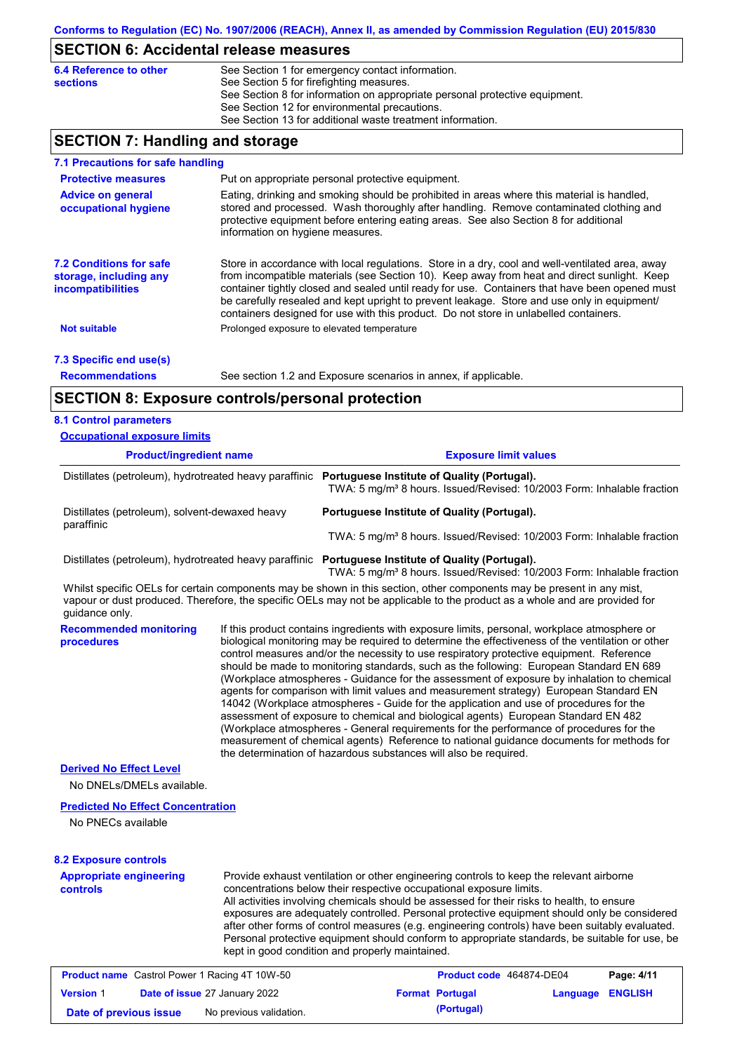### **SECTION 6: Accidental release measures**

| 6.4 Reference to other | See Section 1 for emergency contact information.                            |
|------------------------|-----------------------------------------------------------------------------|
| <b>sections</b>        | See Section 5 for firefighting measures.                                    |
|                        | See Section 8 for information on appropriate personal protective equipment. |
|                        | See Section 12 for environmental precautions.                               |
|                        | See Section 13 for additional waste treatment information.                  |

## **SECTION 7: Handling and storage**

| 7.1 Precautions for safe handling                                                    |                                                                                                                                                                                                                                                                                                                                                                                                                                                                                          |
|--------------------------------------------------------------------------------------|------------------------------------------------------------------------------------------------------------------------------------------------------------------------------------------------------------------------------------------------------------------------------------------------------------------------------------------------------------------------------------------------------------------------------------------------------------------------------------------|
| <b>Protective measures</b>                                                           | Put on appropriate personal protective equipment.                                                                                                                                                                                                                                                                                                                                                                                                                                        |
| <b>Advice on general</b><br>occupational hygiene                                     | Eating, drinking and smoking should be prohibited in areas where this material is handled,<br>stored and processed. Wash thoroughly after handling. Remove contaminated clothing and<br>protective equipment before entering eating areas. See also Section 8 for additional<br>information on hygiene measures.                                                                                                                                                                         |
| <b>7.2 Conditions for safe</b><br>storage, including any<br><i>incompatibilities</i> | Store in accordance with local regulations. Store in a dry, cool and well-ventilated area, away<br>from incompatible materials (see Section 10). Keep away from heat and direct sunlight. Keep<br>container tightly closed and sealed until ready for use. Containers that have been opened must<br>be carefully resealed and kept upright to prevent leakage. Store and use only in equipment/<br>containers designed for use with this product. Do not store in unlabelled containers. |
| <b>Not suitable</b>                                                                  | Prolonged exposure to elevated temperature                                                                                                                                                                                                                                                                                                                                                                                                                                               |
| 7.3 Specific end use(s)                                                              |                                                                                                                                                                                                                                                                                                                                                                                                                                                                                          |
| <b>Recommendations</b>                                                               | See section 1.2 and Exposure scenarios in annex, if applicable.                                                                                                                                                                                                                                                                                                                                                                                                                          |
|                                                                                      | <b>SECTION 8: Exposure controls/personal protection</b>                                                                                                                                                                                                                                                                                                                                                                                                                                  |
| <b>8.1 Control parameters</b>                                                        |                                                                                                                                                                                                                                                                                                                                                                                                                                                                                          |
| <b>Occupational exposure limits</b>                                                  |                                                                                                                                                                                                                                                                                                                                                                                                                                                                                          |
|                                                                                      |                                                                                                                                                                                                                                                                                                                                                                                                                                                                                          |

| <b>Product/ingredient name</b>                         | <b>Exposure limit values</b>                                                                                                      |  |  |
|--------------------------------------------------------|-----------------------------------------------------------------------------------------------------------------------------------|--|--|
| Distillates (petroleum), hydrotreated heavy paraffinic | Portuguese Institute of Quality (Portugal).<br>TWA: 5 mg/m <sup>3</sup> 8 hours. Issued/Revised: 10/2003 Form: Inhalable fraction |  |  |
| Distillates (petroleum), solvent-dewaxed heavy         | Portuguese Institute of Quality (Portugal).                                                                                       |  |  |
| paraffinic                                             | TWA: 5 mg/m <sup>3</sup> 8 hours. Issued/Revised: 10/2003 Form: Inhalable fraction                                                |  |  |

Distillates (petroleum), hydrotreated heavy paraffinic **Portuguese Institute of Quality (Portugal).**

TWA: 5 mg/m<sup>3</sup> 8 hours. Issued/Revised: 10/2003 Form: Inhalable fraction

Whilst specific OELs for certain components may be shown in this section, other components may be present in any mist, vapour or dust produced. Therefore, the specific OELs may not be applicable to the product as a whole and are provided for guidance only.

**Recommended monitoring procedures** If this product contains ingredients with exposure limits, personal, workplace atmosphere or biological monitoring may be required to determine the effectiveness of the ventilation or other control measures and/or the necessity to use respiratory protective equipment. Reference should be made to monitoring standards, such as the following: European Standard EN 689 (Workplace atmospheres - Guidance for the assessment of exposure by inhalation to chemical agents for comparison with limit values and measurement strategy) European Standard EN 14042 (Workplace atmospheres - Guide for the application and use of procedures for the assessment of exposure to chemical and biological agents) European Standard EN 482 (Workplace atmospheres - General requirements for the performance of procedures for the measurement of chemical agents) Reference to national guidance documents for methods for the determination of hazardous substances will also be required.

### **Derived No Effect Level**

No DNELs/DMELs available.

#### **Predicted No Effect Concentration**

No PNECs available

#### **8.2 Exposure controls**

**Appropriate engineering controls** Provide exhaust ventilation or other engineering controls to keep the relevant airborne concentrations below their respective occupational exposure limits. All activities involving chemicals should be assessed for their risks to health, to ensure exposures are adequately controlled. Personal protective equipment should only be considered after other forms of control measures (e.g. engineering controls) have been suitably evaluated. Personal protective equipment should conform to appropriate standards, be suitable for use, be kept in good condition and properly maintained.

|                        | <b>Product name</b> Castrol Power 1 Racing 4T 10W-50 | Product code 464874-DE04 |                  | Page: 4/11 |
|------------------------|------------------------------------------------------|--------------------------|------------------|------------|
| <b>Version 1</b>       | <b>Date of issue 27 January 2022</b>                 | <b>Format Portugal</b>   | Language ENGLISH |            |
| Date of previous issue | No previous validation.                              | (Portugal)               |                  |            |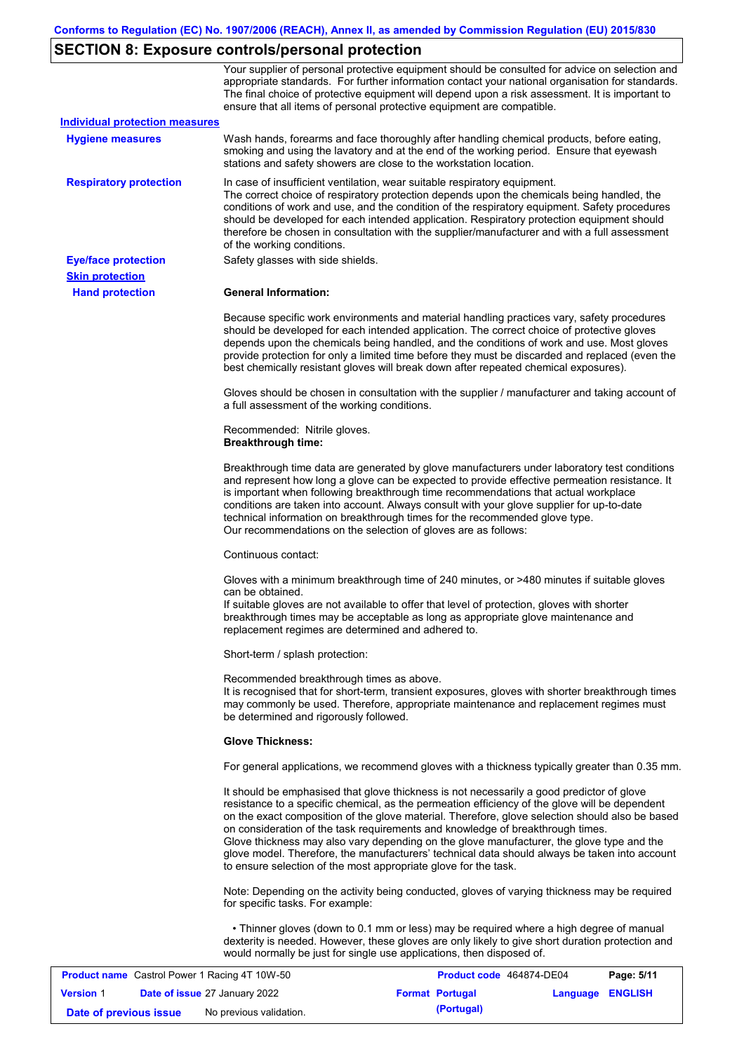# **SECTION 8: Exposure controls/personal protection**

|                                       | Your supplier of personal protective equipment should be consulted for advice on selection and<br>appropriate standards. For further information contact your national organisation for standards.<br>The final choice of protective equipment will depend upon a risk assessment. It is important to<br>ensure that all items of personal protective equipment are compatible.                                                                                                                                                                                                                                                                   |
|---------------------------------------|---------------------------------------------------------------------------------------------------------------------------------------------------------------------------------------------------------------------------------------------------------------------------------------------------------------------------------------------------------------------------------------------------------------------------------------------------------------------------------------------------------------------------------------------------------------------------------------------------------------------------------------------------|
| <b>Individual protection measures</b> |                                                                                                                                                                                                                                                                                                                                                                                                                                                                                                                                                                                                                                                   |
| <b>Hygiene measures</b>               | Wash hands, forearms and face thoroughly after handling chemical products, before eating,<br>smoking and using the lavatory and at the end of the working period. Ensure that eyewash<br>stations and safety showers are close to the workstation location.                                                                                                                                                                                                                                                                                                                                                                                       |
| <b>Respiratory protection</b>         | In case of insufficient ventilation, wear suitable respiratory equipment.<br>The correct choice of respiratory protection depends upon the chemicals being handled, the<br>conditions of work and use, and the condition of the respiratory equipment. Safety procedures<br>should be developed for each intended application. Respiratory protection equipment should<br>therefore be chosen in consultation with the supplier/manufacturer and with a full assessment<br>of the working conditions.                                                                                                                                             |
| <b>Eye/face protection</b>            | Safety glasses with side shields.                                                                                                                                                                                                                                                                                                                                                                                                                                                                                                                                                                                                                 |
| <b>Skin protection</b>                |                                                                                                                                                                                                                                                                                                                                                                                                                                                                                                                                                                                                                                                   |
| <b>Hand protection</b>                | <b>General Information:</b>                                                                                                                                                                                                                                                                                                                                                                                                                                                                                                                                                                                                                       |
|                                       | Because specific work environments and material handling practices vary, safety procedures<br>should be developed for each intended application. The correct choice of protective gloves<br>depends upon the chemicals being handled, and the conditions of work and use. Most gloves<br>provide protection for only a limited time before they must be discarded and replaced (even the<br>best chemically resistant gloves will break down after repeated chemical exposures).                                                                                                                                                                  |
|                                       | Gloves should be chosen in consultation with the supplier / manufacturer and taking account of<br>a full assessment of the working conditions.                                                                                                                                                                                                                                                                                                                                                                                                                                                                                                    |
|                                       | Recommended: Nitrile gloves.<br><b>Breakthrough time:</b>                                                                                                                                                                                                                                                                                                                                                                                                                                                                                                                                                                                         |
|                                       | Breakthrough time data are generated by glove manufacturers under laboratory test conditions<br>and represent how long a glove can be expected to provide effective permeation resistance. It<br>is important when following breakthrough time recommendations that actual workplace<br>conditions are taken into account. Always consult with your glove supplier for up-to-date<br>technical information on breakthrough times for the recommended glove type.<br>Our recommendations on the selection of gloves are as follows:                                                                                                                |
|                                       | Continuous contact:                                                                                                                                                                                                                                                                                                                                                                                                                                                                                                                                                                                                                               |
|                                       | Gloves with a minimum breakthrough time of 240 minutes, or >480 minutes if suitable gloves<br>can be obtained.<br>If suitable gloves are not available to offer that level of protection, gloves with shorter<br>breakthrough times may be acceptable as long as appropriate glove maintenance and<br>replacement regimes are determined and adhered to.                                                                                                                                                                                                                                                                                          |
|                                       | Short-term / splash protection:                                                                                                                                                                                                                                                                                                                                                                                                                                                                                                                                                                                                                   |
|                                       | Recommended breakthrough times as above.<br>It is recognised that for short-term, transient exposures, gloves with shorter breakthrough times<br>may commonly be used. Therefore, appropriate maintenance and replacement regimes must<br>be determined and rigorously followed.                                                                                                                                                                                                                                                                                                                                                                  |
|                                       | <b>Glove Thickness:</b>                                                                                                                                                                                                                                                                                                                                                                                                                                                                                                                                                                                                                           |
|                                       | For general applications, we recommend gloves with a thickness typically greater than 0.35 mm.                                                                                                                                                                                                                                                                                                                                                                                                                                                                                                                                                    |
|                                       | It should be emphasised that glove thickness is not necessarily a good predictor of glove<br>resistance to a specific chemical, as the permeation efficiency of the glove will be dependent<br>on the exact composition of the glove material. Therefore, glove selection should also be based<br>on consideration of the task requirements and knowledge of breakthrough times.<br>Glove thickness may also vary depending on the glove manufacturer, the glove type and the<br>glove model. Therefore, the manufacturers' technical data should always be taken into account<br>to ensure selection of the most appropriate glove for the task. |
|                                       | Note: Depending on the activity being conducted, gloves of varying thickness may be required<br>for specific tasks. For example:                                                                                                                                                                                                                                                                                                                                                                                                                                                                                                                  |
|                                       | • Thinner gloves (down to 0.1 mm or less) may be required where a high degree of manual<br>dexterity is needed. However, these gloves are only likely to give short duration protection and<br>would normally be just for single use applications, then disposed of.                                                                                                                                                                                                                                                                                                                                                                              |

| <b>Product name</b> Castrol Power 1 Racing 4T 10W-50 |  | <b>Product code</b> 464874-DE04      |  | Page: 5/11             |                         |  |
|------------------------------------------------------|--|--------------------------------------|--|------------------------|-------------------------|--|
| <b>Version 1</b>                                     |  | <b>Date of issue 27 January 2022</b> |  | <b>Format Portugal</b> | <b>Language ENGLISH</b> |  |
| Date of previous issue                               |  | No previous validation.              |  | (Portugal)             |                         |  |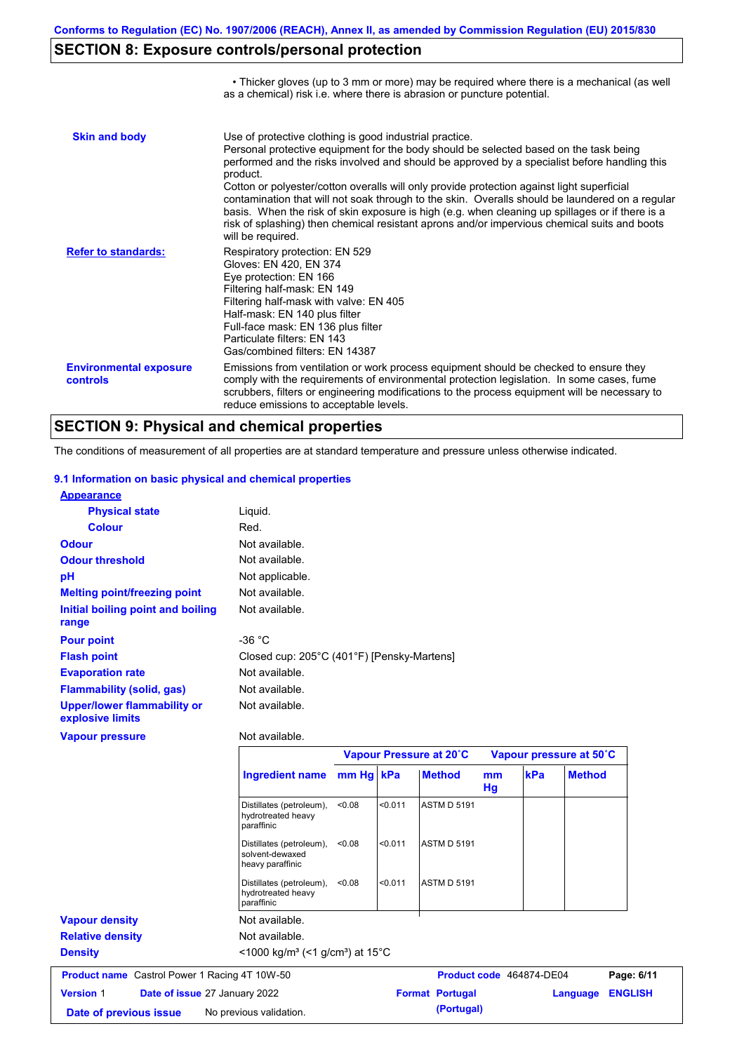• Thicker gloves (up to 3 mm or more) may be required where there is a mechanical (as well

# **SECTION 8: Exposure controls/personal protection**

|                                           | as a chemical) risk i.e. where there is abrasion or puncture potential.                                                                                                                                                                                                                                                                                                                                                                                                                                                                                                                                                                                                               |
|-------------------------------------------|---------------------------------------------------------------------------------------------------------------------------------------------------------------------------------------------------------------------------------------------------------------------------------------------------------------------------------------------------------------------------------------------------------------------------------------------------------------------------------------------------------------------------------------------------------------------------------------------------------------------------------------------------------------------------------------|
| <b>Skin and body</b>                      | Use of protective clothing is good industrial practice.<br>Personal protective equipment for the body should be selected based on the task being<br>performed and the risks involved and should be approved by a specialist before handling this<br>product.<br>Cotton or polyester/cotton overalls will only provide protection against light superficial<br>contamination that will not soak through to the skin. Overalls should be laundered on a regular<br>basis. When the risk of skin exposure is high (e.g. when cleaning up spillages or if there is a<br>risk of splashing) then chemical resistant aprons and/or impervious chemical suits and boots<br>will be required. |
| <b>Refer to standards:</b>                | Respiratory protection: EN 529<br>Gloves: EN 420, EN 374<br>Eye protection: EN 166<br>Filtering half-mask: EN 149<br>Filtering half-mask with valve: EN 405<br>Half-mask: EN 140 plus filter<br>Full-face mask: EN 136 plus filter<br>Particulate filters: EN 143<br>Gas/combined filters: EN 14387                                                                                                                                                                                                                                                                                                                                                                                   |
| <b>Environmental exposure</b><br>controls | Emissions from ventilation or work process equipment should be checked to ensure they<br>comply with the requirements of environmental protection legislation. In some cases, fume<br>scrubbers, filters or engineering modifications to the process equipment will be necessary to<br>reduce emissions to acceptable levels.                                                                                                                                                                                                                                                                                                                                                         |

## **SECTION 9: Physical and chemical properties**

The conditions of measurement of all properties are at standard temperature and pressure unless otherwise indicated.

### **9.1 Information on basic physical and chemical properties**

| <b>Appearance</b>                               |                                            |
|-------------------------------------------------|--------------------------------------------|
| <b>Physical state</b>                           | Liquid.                                    |
| <b>Colour</b>                                   | Red.                                       |
| <b>Odour</b>                                    | Not available.                             |
| <b>Odour threshold</b>                          | Not available.                             |
| pH                                              | Not applicable.                            |
| <b>Melting point/freezing point</b>             | Not available.                             |
| Initial boiling point and boiling<br>range      | Not available.                             |
| <b>Pour point</b>                               | -36 $^{\circ}$ C                           |
| <b>Flash point</b>                              | Closed cup: 205°C (401°F) [Pensky-Martens] |
| <b>Evaporation rate</b>                         | Not available.                             |
| <b>Flammability (solid, gas)</b>                | Not available.                             |
| Upper/lower flammability or<br>explosive limits | Not available.                             |

# **Vapour pressure**

#### Not available.

|                                                      |                                                                            |           |         | Vapour Pressure at 20°C |          | Vapour pressure at 50°C  |                |
|------------------------------------------------------|----------------------------------------------------------------------------|-----------|---------|-------------------------|----------|--------------------------|----------------|
|                                                      | <b>Ingredient name</b>                                                     | mm Hg kPa |         | <b>Method</b>           | mm<br>Hg | <b>kPa</b>               | <b>Method</b>  |
|                                                      | Distillates (petroleum),<br>hydrotreated heavy<br>paraffinic               | < 0.08    | < 0.011 | <b>ASTM D 5191</b>      |          |                          |                |
|                                                      | Distillates (petroleum),<br>solvent-dewaxed<br>heavy paraffinic            | < 0.08    | < 0.011 | <b>ASTM D 5191</b>      |          |                          |                |
|                                                      | Distillates (petroleum),<br>hydrotreated heavy<br>paraffinic               | < 0.08    | < 0.011 | <b>ASTM D 5191</b>      |          |                          |                |
| <b>Vapour density</b>                                | Not available.                                                             |           |         |                         |          |                          |                |
| <b>Relative density</b>                              | Not available.                                                             |           |         |                         |          |                          |                |
| <b>Density</b>                                       | $\leq$ 1000 kg/m <sup>3</sup> (<1 g/cm <sup>3</sup> ) at 15 <sup>°</sup> C |           |         |                         |          |                          |                |
| <b>Product name</b> Castrol Power 1 Racing 4T 10W-50 |                                                                            |           |         |                         |          | Product code 464874-DE04 | Page: 6/11     |
| <b>Version 1</b><br>Date of issue 27 January 2022    |                                                                            |           |         | <b>Format Portugal</b>  |          | Language                 | <b>ENGLISH</b> |
| Date of previous issue                               | No previous validation.                                                    |           |         | (Portugal)              |          |                          |                |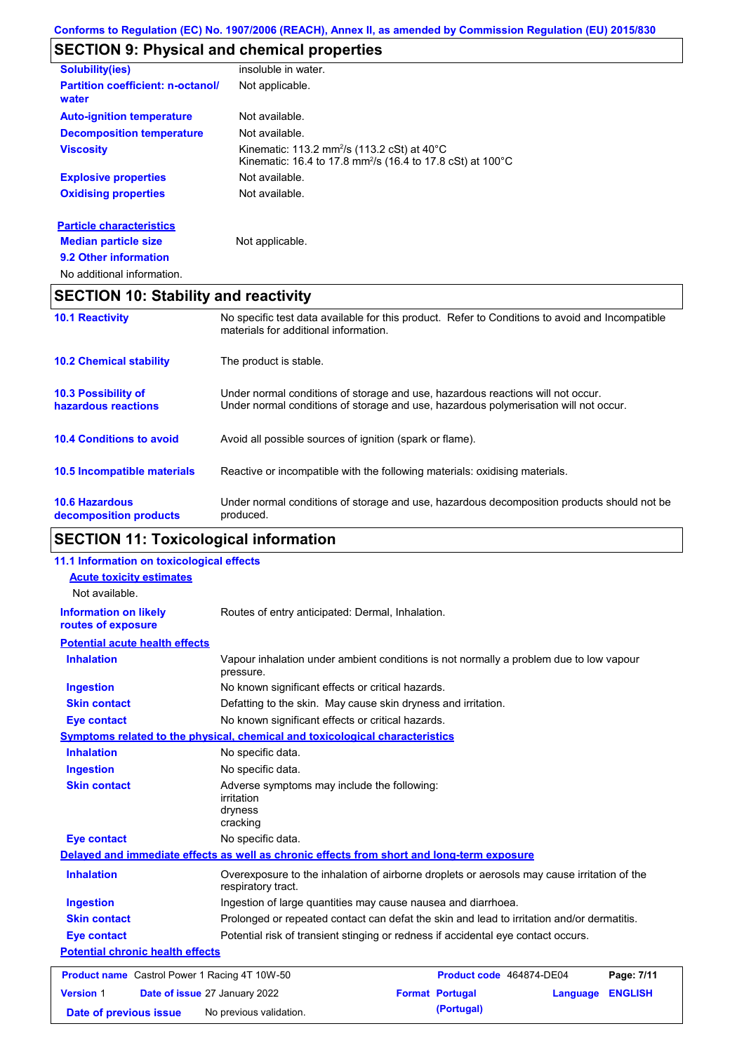# **SECTION 9: Physical and chemical properties**

| <b>Solubility(ies)</b>                            | insoluble in water.                                                                                                                                    |
|---------------------------------------------------|--------------------------------------------------------------------------------------------------------------------------------------------------------|
| <b>Partition coefficient: n-octanol/</b><br>water | Not applicable.                                                                                                                                        |
| <b>Auto-ignition temperature</b>                  | Not available.                                                                                                                                         |
| <b>Decomposition temperature</b>                  | Not available.                                                                                                                                         |
| <b>Viscosity</b>                                  | Kinematic: 113.2 mm <sup>2</sup> /s (113.2 cSt) at $40^{\circ}$ C<br>Kinematic: 16.4 to 17.8 mm <sup>2</sup> /s (16.4 to 17.8 cSt) at 100 $^{\circ}$ C |
| <b>Explosive properties</b>                       | Not available.                                                                                                                                         |
| <b>Oxidising properties</b>                       | Not available.                                                                                                                                         |
| <b>Particle characteristics</b>                   |                                                                                                                                                        |
| <b>Median particle size</b>                       | Not applicable.                                                                                                                                        |
| 9.2 Other information                             |                                                                                                                                                        |
| No additional information.                        |                                                                                                                                                        |

# **SECTION 10: Stability and reactivity**

| <b>10.1 Reactivity</b>                            | No specific test data available for this product. Refer to Conditions to avoid and Incompatible<br>materials for additional information.                                |
|---------------------------------------------------|-------------------------------------------------------------------------------------------------------------------------------------------------------------------------|
| <b>10.2 Chemical stability</b>                    | The product is stable.                                                                                                                                                  |
| <b>10.3 Possibility of</b><br>hazardous reactions | Under normal conditions of storage and use, hazardous reactions will not occur.<br>Under normal conditions of storage and use, hazardous polymerisation will not occur. |
| <b>10.4 Conditions to avoid</b>                   | Avoid all possible sources of ignition (spark or flame).                                                                                                                |
| 10.5 Incompatible materials                       | Reactive or incompatible with the following materials: oxidising materials.                                                                                             |
| <b>10.6 Hazardous</b><br>decomposition products   | Under normal conditions of storage and use, hazardous decomposition products should not be<br>produced.                                                                 |

# **SECTION 11: Toxicological information**

| 11.1 Information on toxicological effects            |                                                                                                                   |                                                               |                |  |
|------------------------------------------------------|-------------------------------------------------------------------------------------------------------------------|---------------------------------------------------------------|----------------|--|
| <b>Acute toxicity estimates</b>                      |                                                                                                                   |                                                               |                |  |
| Not available.                                       |                                                                                                                   |                                                               |                |  |
| <b>Information on likely</b><br>routes of exposure   | Routes of entry anticipated: Dermal, Inhalation.                                                                  |                                                               |                |  |
| <b>Potential acute health effects</b>                |                                                                                                                   |                                                               |                |  |
| <b>Inhalation</b>                                    | Vapour inhalation under ambient conditions is not normally a problem due to low vapour<br>pressure.               |                                                               |                |  |
| <b>Ingestion</b>                                     | No known significant effects or critical hazards.                                                                 |                                                               |                |  |
| <b>Skin contact</b>                                  | Defatting to the skin. May cause skin dryness and irritation.                                                     |                                                               |                |  |
| <b>Eye contact</b>                                   | No known significant effects or critical hazards.                                                                 |                                                               |                |  |
|                                                      | <b>Symptoms related to the physical, chemical and toxicological characteristics</b>                               |                                                               |                |  |
| <b>Inhalation</b>                                    | No specific data.                                                                                                 |                                                               |                |  |
| <b>Ingestion</b>                                     | No specific data.                                                                                                 |                                                               |                |  |
| <b>Skin contact</b>                                  | Adverse symptoms may include the following:<br><i>irritation</i><br>dryness<br>cracking                           |                                                               |                |  |
| <b>Eye contact</b>                                   | No specific data.                                                                                                 |                                                               |                |  |
|                                                      | Delayed and immediate effects as well as chronic effects from short and long-term exposure                        |                                                               |                |  |
| <b>Inhalation</b>                                    | Overexposure to the inhalation of airborne droplets or aerosols may cause irritation of the<br>respiratory tract. |                                                               |                |  |
| <b>Ingestion</b>                                     |                                                                                                                   | Ingestion of large quantities may cause nausea and diarrhoea. |                |  |
| <b>Skin contact</b>                                  | Prolonged or repeated contact can defat the skin and lead to irritation and/or dermatitis.                        |                                                               |                |  |
| <b>Eye contact</b>                                   | Potential risk of transient stinging or redness if accidental eye contact occurs.                                 |                                                               |                |  |
| <b>Potential chronic health effects</b>              |                                                                                                                   |                                                               |                |  |
| <b>Product name</b> Castrol Power 1 Racing 4T 10W-50 |                                                                                                                   | Product code 464874-DE04                                      | Page: 7/11     |  |
| <b>Version 1</b>                                     | Date of issue 27 January 2022<br><b>Format Portugal</b>                                                           | Language                                                      | <b>ENGLISH</b> |  |
| Date of previous issue                               | (Portugal)<br>No previous validation.                                                                             |                                                               |                |  |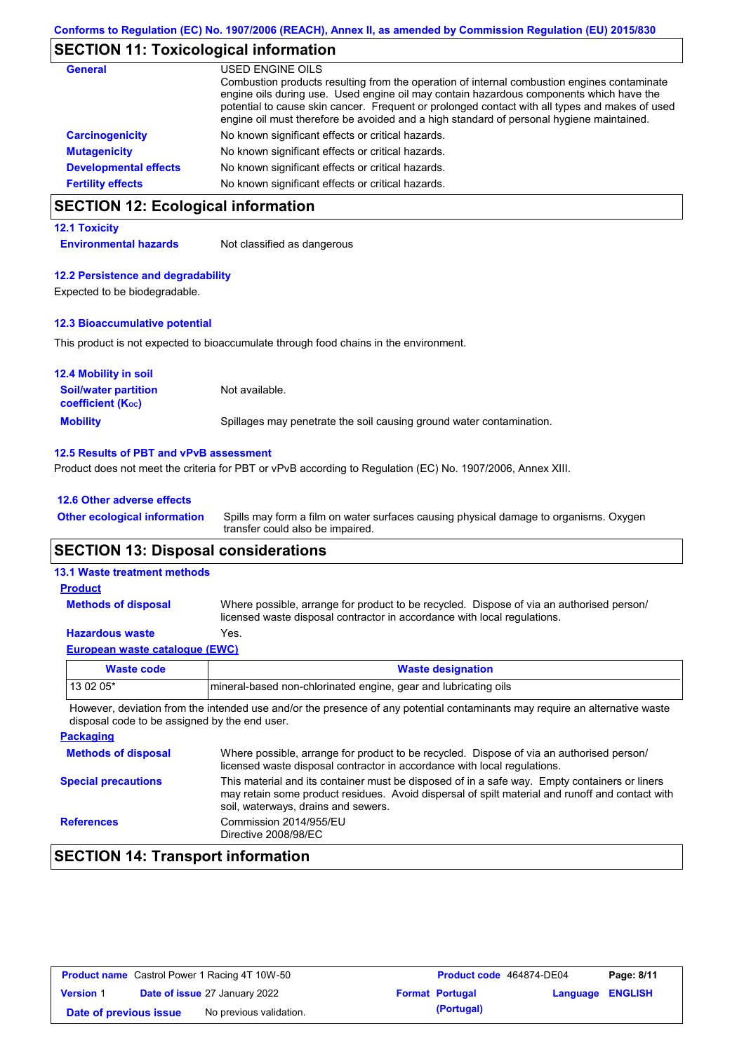### **SECTION 11: Toxicological information**

| <b>General</b>               | USED ENGINE OILS                                                                                                                                                                                                                                                                                                                                                                     |
|------------------------------|--------------------------------------------------------------------------------------------------------------------------------------------------------------------------------------------------------------------------------------------------------------------------------------------------------------------------------------------------------------------------------------|
|                              | Combustion products resulting from the operation of internal combustion engines contaminate<br>engine oils during use. Used engine oil may contain hazardous components which have the<br>potential to cause skin cancer. Frequent or prolonged contact with all types and makes of used<br>engine oil must therefore be avoided and a high standard of personal hygiene maintained. |
| <b>Carcinogenicity</b>       | No known significant effects or critical hazards.                                                                                                                                                                                                                                                                                                                                    |
| <b>Mutagenicity</b>          | No known significant effects or critical hazards.                                                                                                                                                                                                                                                                                                                                    |
| <b>Developmental effects</b> | No known significant effects or critical hazards.                                                                                                                                                                                                                                                                                                                                    |
| <b>Fertility effects</b>     | No known significant effects or critical hazards.                                                                                                                                                                                                                                                                                                                                    |

# **SECTION 12: Ecological information**

### **12.1 Toxicity**

**Environmental hazards** Not classified as dangerous

### **12.2 Persistence and degradability**

Expected to be biodegradable.

### **12.3 Bioaccumulative potential**

This product is not expected to bioaccumulate through food chains in the environment.

| <b>12.4 Mobility in soil</b>                                  |                                                                      |
|---------------------------------------------------------------|----------------------------------------------------------------------|
| <b>Soil/water partition</b><br>coefficient (K <sub>oc</sub> ) | Not available.                                                       |
| <b>Mobility</b>                                               | Spillages may penetrate the soil causing ground water contamination. |

### **12.5 Results of PBT and vPvB assessment**

Product does not meet the criteria for PBT or vPvB according to Regulation (EC) No. 1907/2006, Annex XIII.

### **12.6 Other adverse effects**

Spills may form a film on water surfaces causing physical damage to organisms. Oxygen transfer could also be impaired. **Other ecological information**

### **SECTION 13: Disposal considerations**

### **13.1 Waste treatment methods**

**Methods of disposal**

### **Product**

Where possible, arrange for product to be recycled. Dispose of via an authorised person/ licensed waste disposal contractor in accordance with local regulations.

### **Hazardous waste** Yes.

| Waste code | <b>Waste designation</b>                                         |
|------------|------------------------------------------------------------------|
| $130205*$  | Imineral-based non-chlorinated engine, gear and lubricating oils |
|            |                                                                  |

However, deviation from the intended use and/or the presence of any potential contaminants may require an alternative waste disposal code to be assigned by the end user.

| <b>Packaging</b>           |                                                                                                                                                                                                                                         |
|----------------------------|-----------------------------------------------------------------------------------------------------------------------------------------------------------------------------------------------------------------------------------------|
| <b>Methods of disposal</b> | Where possible, arrange for product to be recycled. Dispose of via an authorised person/<br>licensed waste disposal contractor in accordance with local regulations.                                                                    |
| <b>Special precautions</b> | This material and its container must be disposed of in a safe way. Empty containers or liners<br>may retain some product residues. Avoid dispersal of spilt material and runoff and contact with<br>soil, waterways, drains and sewers. |
| <b>References</b>          | Commission 2014/955/EU<br>Directive 2008/98/EC                                                                                                                                                                                          |

# **SECTION 14: Transport information**

| <b>Product name</b> Castrol Power 1 Racing 4T 10W-50 |  | Product code 464874-DE04             |  | Page: 8/11             |                         |  |
|------------------------------------------------------|--|--------------------------------------|--|------------------------|-------------------------|--|
| <b>Version 1</b>                                     |  | <b>Date of issue 27 January 2022</b> |  | <b>Format Portugal</b> | <b>Language ENGLISH</b> |  |
| Date of previous issue                               |  | No previous validation.              |  | (Portugal)             |                         |  |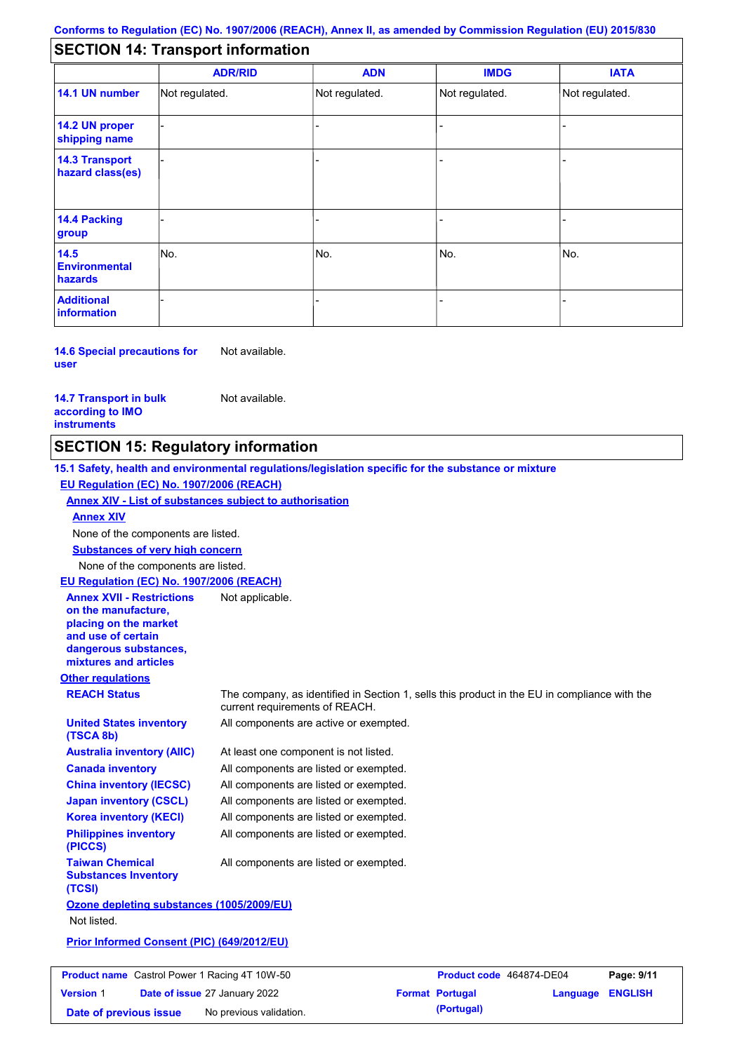# **SECTION 14: Transport information**

|                                           | <b>ADR/RID</b> | <b>ADN</b>     | <b>IMDG</b>    | <b>IATA</b>    |  |  |
|-------------------------------------------|----------------|----------------|----------------|----------------|--|--|
| 14.1 UN number                            | Not regulated. | Not regulated. | Not regulated. | Not regulated. |  |  |
| 14.2 UN proper<br>shipping name           |                |                |                |                |  |  |
| <b>14.3 Transport</b><br>hazard class(es) |                |                |                |                |  |  |
| 14.4 Packing<br>group                     |                |                |                |                |  |  |
| 14.5<br><b>Environmental</b><br>hazards   | No.            | No.            | No.            | No.            |  |  |
| <b>Additional</b><br><b>information</b>   |                |                | -              |                |  |  |

**14.6 Special precautions for user** Not available.

**14.7 Transport in bulk according to IMO instruments**

Not available.

## **SECTION 15: Regulatory information**

**Other regulations REACH Status** The company, as identified in Section 1, sells this product in the EU in compliance with the current requirements of REACH. **15.1 Safety, health and environmental regulations/legislation specific for the substance or mixture EU Regulation (EC) No. 1907/2006 (REACH) Annex XIV - List of substances subject to authorisation Substances of very high concern** None of the components are listed. At least one component is not listed. All components are listed or exempted. All components are listed or exempted. All components are listed or exempted. All components are active or exempted. All components are listed or exempted. All components are listed or exempted. **United States inventory (TSCA 8b) Australia inventory (AIIC) Canada inventory China inventory (IECSC) Japan inventory (CSCL) Korea inventory (KECI) Philippines inventory (PICCS) Taiwan Chemical Substances Inventory (TCSI)** All components are listed or exempted. **Ozone depleting substances (1005/2009/EU)** Not listed. **Prior Informed Consent (PIC) (649/2012/EU)** None of the components are listed. **Annex XIV EU Regulation (EC) No. 1907/2006 (REACH) Annex XVII - Restrictions on the manufacture, placing on the market and use of certain dangerous substances, mixtures and articles** Not applicable.

| <b>Product name</b> Castrol Power 1 Racing 4T 10W-50 |  | Product code 464874-DE04             |  | Page: 9/11             |                         |  |
|------------------------------------------------------|--|--------------------------------------|--|------------------------|-------------------------|--|
| <b>Version 1</b>                                     |  | <b>Date of issue 27 January 2022</b> |  | <b>Format Portugal</b> | <b>Language ENGLISH</b> |  |
| Date of previous issue                               |  | No previous validation.              |  | (Portugal)             |                         |  |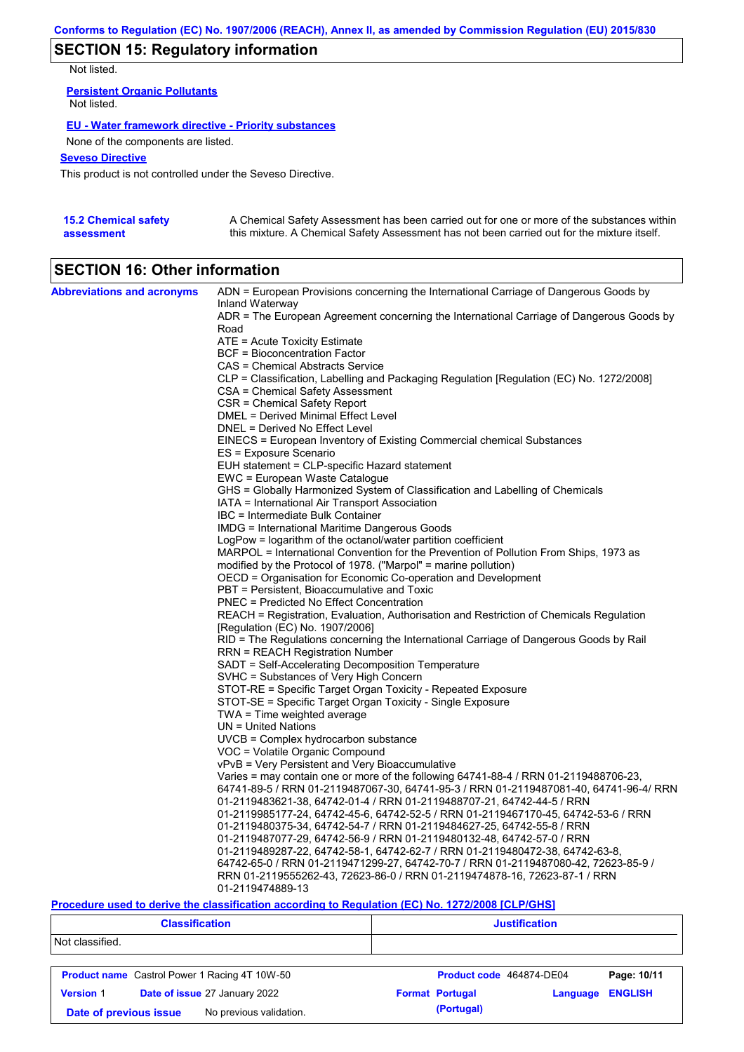# **SECTION 15: Regulatory information**

Not listed.

**Persistent Organic Pollutants** Not listed.

### **EU - Water framework directive - Priority substances**

None of the components are listed.

### **Seveso Directive**

This product is not controlled under the Seveso Directive.

| <b>15.2 Chemical safety</b> | A Chemical Safety Assessment has been carried out for one or more of the substances within  |
|-----------------------------|---------------------------------------------------------------------------------------------|
| assessment                  | this mixture. A Chemical Safety Assessment has not been carried out for the mixture itself. |

# **SECTION 16: Other information**

| <b>Abbreviations and acronyms</b> | ADN = European Provisions concerning the International Carriage of Dangerous Goods by<br>Inland Waterway                  |
|-----------------------------------|---------------------------------------------------------------------------------------------------------------------------|
|                                   | ADR = The European Agreement concerning the International Carriage of Dangerous Goods by<br>Road                          |
|                                   | ATE = Acute Toxicity Estimate                                                                                             |
|                                   | BCF = Bioconcentration Factor                                                                                             |
|                                   | CAS = Chemical Abstracts Service                                                                                          |
|                                   | CLP = Classification, Labelling and Packaging Regulation [Regulation (EC) No. 1272/2008]                                  |
|                                   | CSA = Chemical Safety Assessment                                                                                          |
|                                   | CSR = Chemical Safety Report                                                                                              |
|                                   | DMEL = Derived Minimal Effect Level                                                                                       |
|                                   | DNEL = Derived No Effect Level                                                                                            |
|                                   | EINECS = European Inventory of Existing Commercial chemical Substances                                                    |
|                                   | ES = Exposure Scenario                                                                                                    |
|                                   | EUH statement = CLP-specific Hazard statement                                                                             |
|                                   | EWC = European Waste Catalogue                                                                                            |
|                                   | GHS = Globally Harmonized System of Classification and Labelling of Chemicals                                             |
|                                   | IATA = International Air Transport Association                                                                            |
|                                   | IBC = Intermediate Bulk Container                                                                                         |
|                                   | <b>IMDG</b> = International Maritime Dangerous Goods                                                                      |
|                                   | LogPow = logarithm of the octanol/water partition coefficient                                                             |
|                                   | MARPOL = International Convention for the Prevention of Pollution From Ships, 1973 as                                     |
|                                   | modified by the Protocol of 1978. ("Marpol" = marine pollution)                                                           |
|                                   | OECD = Organisation for Economic Co-operation and Development                                                             |
|                                   | PBT = Persistent, Bioaccumulative and Toxic                                                                               |
|                                   | <b>PNEC</b> = Predicted No Effect Concentration                                                                           |
|                                   | REACH = Registration, Evaluation, Authorisation and Restriction of Chemicals Regulation                                   |
|                                   | [Regulation (EC) No. 1907/2006]<br>RID = The Regulations concerning the International Carriage of Dangerous Goods by Rail |
|                                   | RRN = REACH Registration Number                                                                                           |
|                                   | SADT = Self-Accelerating Decomposition Temperature                                                                        |
|                                   | SVHC = Substances of Very High Concern                                                                                    |
|                                   | STOT-RE = Specific Target Organ Toxicity - Repeated Exposure                                                              |
|                                   | STOT-SE = Specific Target Organ Toxicity - Single Exposure                                                                |
|                                   | $TWA = Time$ weighted average                                                                                             |
|                                   | $UN = United Nations$                                                                                                     |
|                                   | UVCB = Complex hydrocarbon substance                                                                                      |
|                                   | VOC = Volatile Organic Compound                                                                                           |
|                                   | vPvB = Very Persistent and Very Bioaccumulative                                                                           |
|                                   | Varies = may contain one or more of the following $64741-88-4$ / RRN 01-2119488706-23,                                    |
|                                   | 64741-89-5 / RRN 01-2119487067-30, 64741-95-3 / RRN 01-2119487081-40, 64741-96-4/ RRN                                     |
|                                   | 01-2119483621-38, 64742-01-4 / RRN 01-2119488707-21, 64742-44-5 / RRN                                                     |
|                                   | 01-2119985177-24, 64742-45-6, 64742-52-5 / RRN 01-2119467170-45, 64742-53-6 / RRN                                         |
|                                   | 01-2119480375-34, 64742-54-7 / RRN 01-2119484627-25, 64742-55-8 / RRN                                                     |
|                                   | 01-2119487077-29, 64742-56-9 / RRN 01-2119480132-48, 64742-57-0 / RRN                                                     |
|                                   | 01-2119489287-22, 64742-58-1, 64742-62-7 / RRN 01-2119480472-38, 64742-63-8,                                              |
|                                   | 64742-65-0 / RRN 01-2119471299-27, 64742-70-7 / RRN 01-2119487080-42, 72623-85-9 /                                        |
|                                   | RRN 01-2119555262-43, 72623-86-0 / RRN 01-2119474878-16, 72623-87-1 / RRN                                                 |
|                                   | 01-2119474889-13                                                                                                          |

### **Procedure used to derive the classification according to Regulation (EC) No. 1272/2008 [CLP/GHS]**

| <b>Classification</b> |                                                      | <b>Justification</b>     |          |                |
|-----------------------|------------------------------------------------------|--------------------------|----------|----------------|
| Not classified.       |                                                      |                          |          |                |
|                       | <b>Product name</b> Castrol Power 1 Racing 4T 10W-50 | Product code 464874-DE04 |          | Page: 10/11    |
| <b>Version 1</b>      | Date of issue 27 January 2022                        | <b>Format Portugal</b>   | Language | <b>ENGLISH</b> |
|                       | No previous validation.<br>Date of previous issue    | (Portugal)               |          |                |